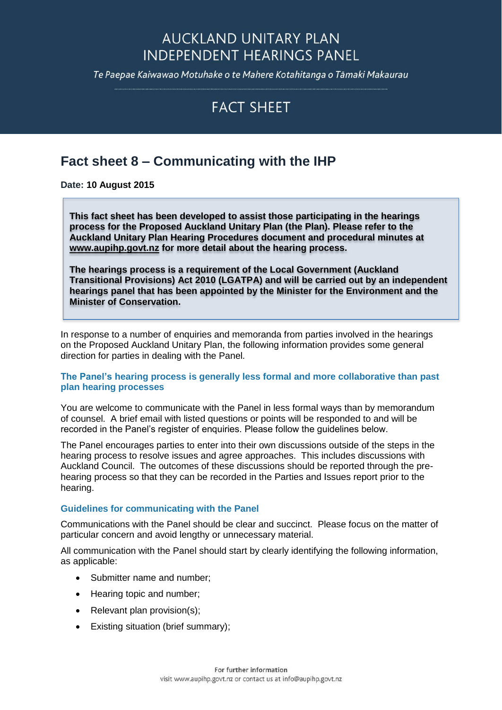## **AUCKLAND UNITARY PLAN INDEPENDENT HEARINGS PANEL**

Te Paepae Kaiwawao Motuhake o te Mahere Kotahitanga o Tāmaki Makaurau

# **FACT SHEFT**

### **Fact sheet 8 – Communicating with the IHP**

**Date: 10 August 2015**

**This fact sheet has been developed to assist those participating in the hearings process for the Proposed Auckland Unitary Plan (the Plan). Please refer to the Auckland Unitary Plan Hearing Procedures document and procedural minutes at [www.aupihp.govt.nz](http://www.aupihp.govt.nz/) for more detail about the hearing process.** 

**The hearings process is a requirement of the Local Government (Auckland Transitional Provisions) Act 2010 (LGATPA) and will be carried out by an independent hearings panel that has been appointed by the Minister for the Environment and the Minister of Conservation.** 

In response to a number of enquiries and memoranda from parties involved in the hearings on the Proposed Auckland Unitary Plan, the following information provides some general direction for parties in dealing with the Panel.

#### **The Panel's hearing process is generally less formal and more collaborative than past plan hearing processes**

You are welcome to communicate with the Panel in less formal ways than by memorandum of counsel. A brief email with listed questions or points will be responded to and will be recorded in the Panel's register of enquiries. Please follow the guidelines below.

The Panel encourages parties to enter into their own discussions outside of the steps in the hearing process to resolve issues and agree approaches. This includes discussions with Auckland Council. The outcomes of these discussions should be reported through the prehearing process so that they can be recorded in the Parties and Issues report prior to the hearing.

#### **Guidelines for communicating with the Panel**

Communications with the Panel should be clear and succinct. Please focus on the matter of particular concern and avoid lengthy or unnecessary material.

All communication with the Panel should start by clearly identifying the following information, as applicable:

- Submitter name and number:
- Hearing topic and number;
- Relevant plan provision(s);
- Existing situation (brief summary);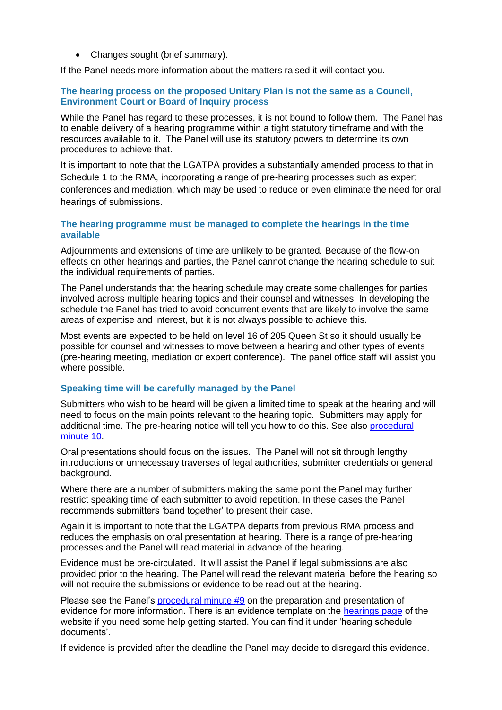• Changes sought (brief summary).

If the Panel needs more information about the matters raised it will contact you.

#### **The hearing process on the proposed Unitary Plan is not the same as a Council, Environment Court or Board of Inquiry process**

While the Panel has regard to these processes, it is not bound to follow them. The Panel has to enable delivery of a hearing programme within a tight statutory timeframe and with the resources available to it. The Panel will use its statutory powers to determine its own procedures to achieve that.

It is important to note that the LGATPA provides a substantially amended process to that in Schedule 1 to the RMA, incorporating a range of pre-hearing processes such as expert conferences and mediation, which may be used to reduce or even eliminate the need for oral hearings of submissions.

#### **The hearing programme must be managed to complete the hearings in the time available**

Adjournments and extensions of time are unlikely to be granted. Because of the flow-on effects on other hearings and parties, the Panel cannot change the hearing schedule to suit the individual requirements of parties.

The Panel understands that the hearing schedule may create some challenges for parties involved across multiple hearing topics and their counsel and witnesses. In developing the schedule the Panel has tried to avoid concurrent events that are likely to involve the same areas of expertise and interest, but it is not always possible to achieve this.

Most events are expected to be held on level 16 of 205 Queen St so it should usually be possible for counsel and witnesses to move between a hearing and other types of events (pre-hearing meeting, mediation or expert conference). The panel office staff will assist you where possible.

#### **Speaking time will be carefully managed by the Panel**

Submitters who wish to be heard will be given a limited time to speak at the hearing and will need to focus on the main points relevant to the hearing topic. Submitters may apply for additional time. The pre-hearing notice will tell you how to do this. See also [procedural](http://www.aupihp.govt.nz/documents/docs/aupihpproceduralminute10.pdf)  [minute 10.](http://www.aupihp.govt.nz/documents/docs/aupihpproceduralminute10.pdf)

Oral presentations should focus on the issues. The Panel will not sit through lengthy introductions or unnecessary traverses of legal authorities, submitter credentials or general background.

Where there are a number of submitters making the same point the Panel may further restrict speaking time of each submitter to avoid repetition. In these cases the Panel recommends submitters 'band together' to present their case.

Again it is important to note that the LGATPA departs from previous RMA process and reduces the emphasis on oral presentation at hearing. There is a range of pre-hearing processes and the Panel will read material in advance of the hearing.

Evidence must be pre-circulated. It will assist the Panel if legal submissions are also provided prior to the hearing. The Panel will read the relevant material before the hearing so will not require the submissions or evidence to be read out at the hearing.

Please see the Panel's [procedural minute #9](http://www.aupihp.govt.nz/documents/docs/aupihpproceduralminute9.pdf) on the preparation and presentation of evidence for more information. There is an evidence template on the [hearings page](https://hearings.aupihp.govt.nz/hearings) of the website if you need some help getting started. You can find it under 'hearing schedule documents'.

If evidence is provided after the deadline the Panel may decide to disregard this evidence.